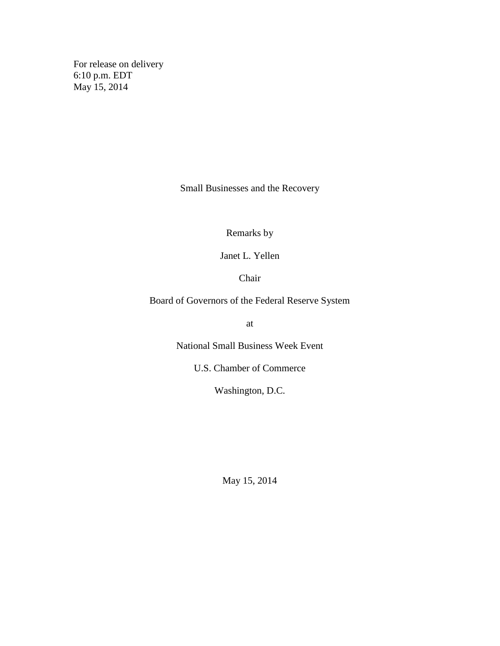For release on delivery 6:10 p.m. EDT May 15, 2014

Small Businesses and the Recovery

Remarks by

Janet L. Yellen

Chair

Board of Governors of the Federal Reserve System

at

National Small Business Week Event

U.S. Chamber of Commerce

Washington, D.C.

May 15, 2014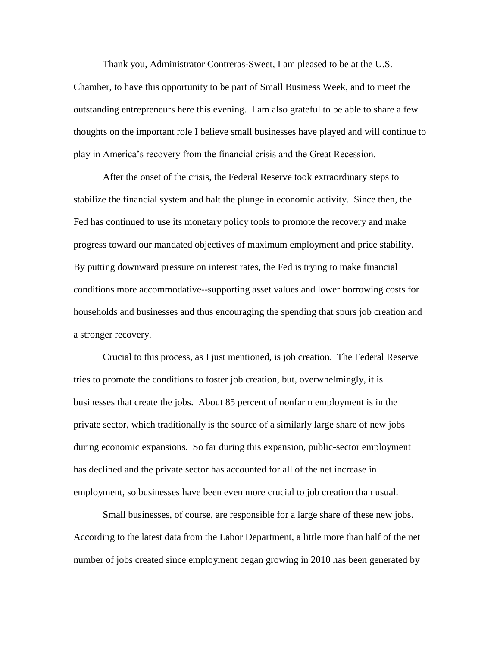Thank you, Administrator Contreras-Sweet, I am pleased to be at the U.S. Chamber, to have this opportunity to be part of Small Business Week, and to meet the outstanding entrepreneurs here this evening. I am also grateful to be able to share a few thoughts on the important role I believe small businesses have played and will continue to play in America's recovery from the financial crisis and the Great Recession.

After the onset of the crisis, the Federal Reserve took extraordinary steps to stabilize the financial system and halt the plunge in economic activity. Since then, the Fed has continued to use its monetary policy tools to promote the recovery and make progress toward our mandated objectives of maximum employment and price stability. By putting downward pressure on interest rates, the Fed is trying to make financial conditions more accommodative--supporting asset values and lower borrowing costs for households and businesses and thus encouraging the spending that spurs job creation and a stronger recovery.

Crucial to this process, as I just mentioned, is job creation. The Federal Reserve tries to promote the conditions to foster job creation, but, overwhelmingly, it is businesses that create the jobs. About 85 percent of nonfarm employment is in the private sector, which traditionally is the source of a similarly large share of new jobs during economic expansions. So far during this expansion, public-sector employment has declined and the private sector has accounted for all of the net increase in employment, so businesses have been even more crucial to job creation than usual.

Small businesses, of course, are responsible for a large share of these new jobs. According to the latest data from the Labor Department, a little more than half of the net number of jobs created since employment began growing in 2010 has been generated by